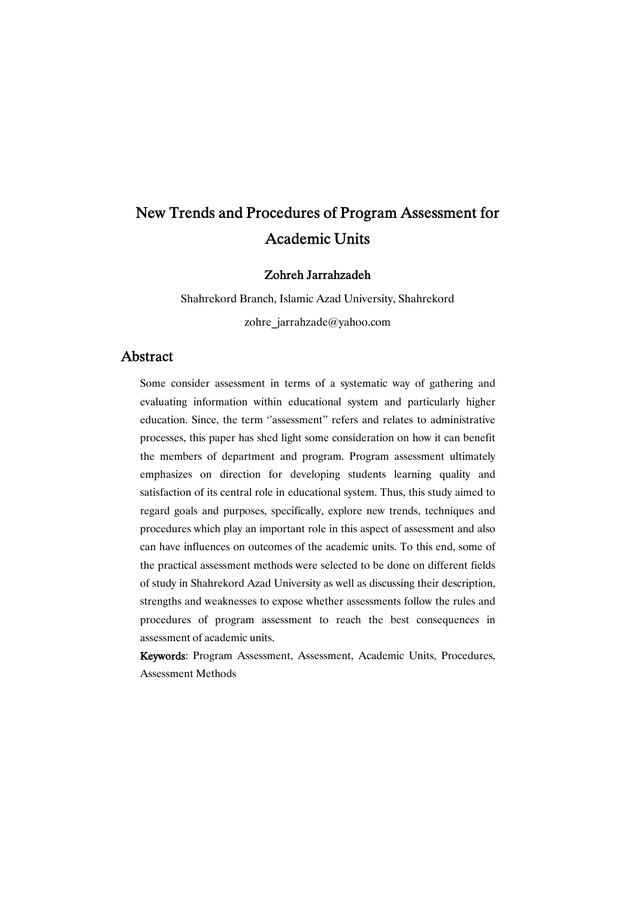# New Trends and Procedures of Program Assessment for **Academic Units**

Zohreh Jarrahzadeh

Shahrekord Branch, Islamic Azad University, Shahrekord zohre\_jarrahzade@yahoo.com

# Abstract

Some consider assessment in terms of a systematic way of gathering and evaluating information within educational system and particularly higher education. Since, the term "assessment" refers and relates to administrative processes, this paper has shed light some consideration on how it can benefit the members of department and program. Program assessment ultimately emphasizes on direction for developing students learning quality and satisfaction of its central role in educational system. Thus, this study aimed to regard goals and purposes, specifically, explore new trends, techniques and procedures which play an important role in this aspect of assessment and also can have influences on outcomes of the academic units. To this end, some of the practical assessment methods were selected to be done on different fields of study in Shahrekord Azad University as well as discussing their description, strengths and weaknesses to expose whether assessments follow the rules and procedures of program assessment to reach the best consequences in assessment of academic units.

Keywords: Program Assessment, Assessment, Academic Units, Procedures, Assessment Methods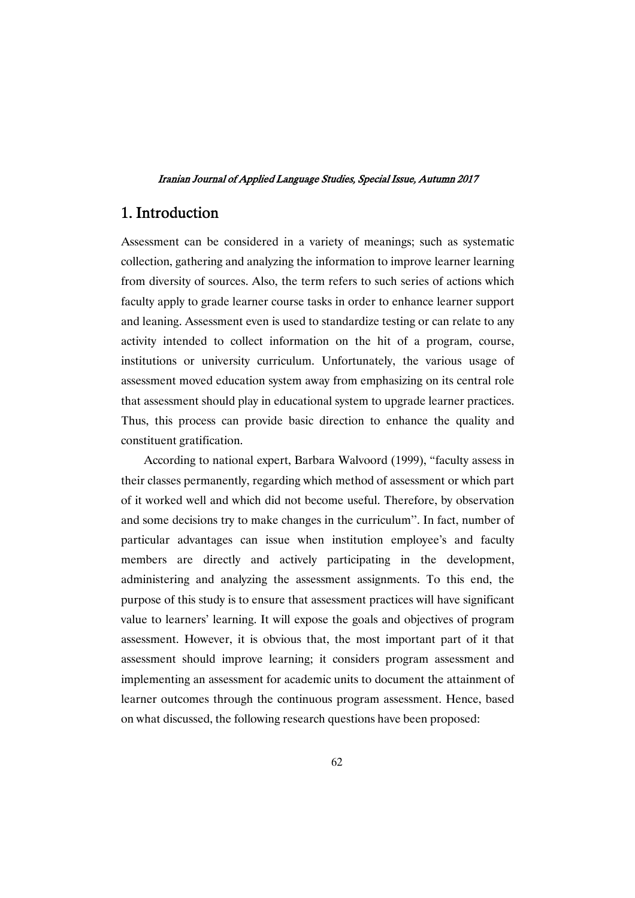# 1.Introduction

Assessment can be considered in a variety of meanings; such as systematic collection, gathering and analyzing the information to improve learner learning from diversity of sources. Also, the term refers to such series of actions which faculty apply to grade learner course tasks in order to enhance learner support and leaning. Assessment even is used to standardize testing or can relate to any activity intended to collect information on the hit of a program, course, institutions or university curriculum. Unfortunately, the various usage of assessment moved education system away from emphasizing on its central role that assessment should play in educational system to upgrade learner practices. Thus, this process can provide basic direction to enhance the quality and constituent gratification.

According to national expert, Barbara Walvoord (1999), "faculty assess in their classes permanently, regarding which method of assessment or which part of it worked well and which did not become useful. Therefore, by observation and some decisions try to make changes in the curriculum''. In fact, number of particular advantages can issue when institution employee's and faculty members are directly and actively participating in the development, administering and analyzing the assessment assignments. To this end, the purpose of this study is to ensure that assessment practices will have significant value to learners' learning. It will expose the goals and objectives of program assessment. However, it is obvious that, the most important part of it that assessment should improve learning; it considers program assessment and implementing an assessment for academic units to document the attainment of learner outcomes through the continuous program assessment. Hence, based on what discussed, the following research questions have been proposed: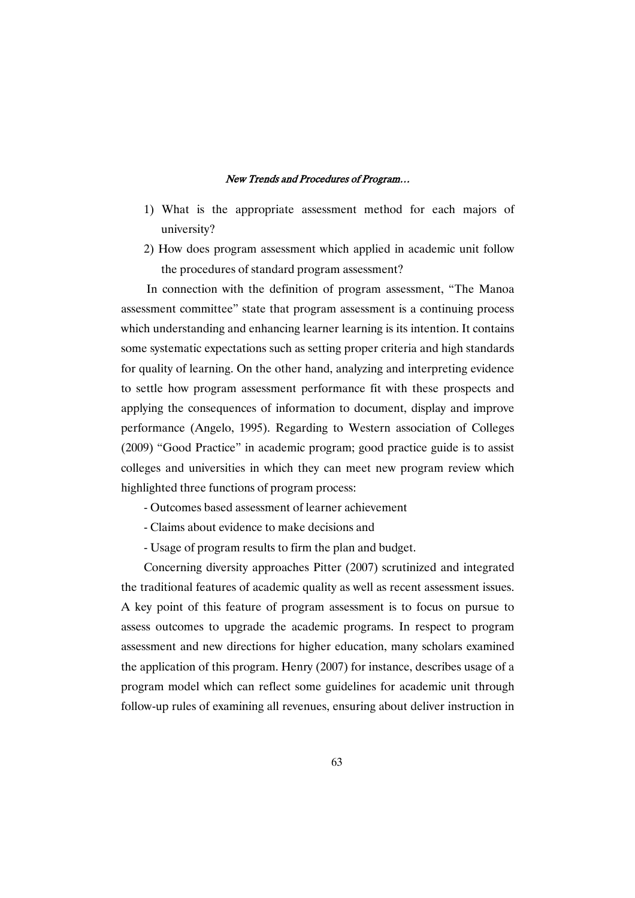- 1) What is the appropriate assessment method for each majors of university?
- 2) How does program assessment which applied in academic unit follow the procedures of standard program assessment?

In connection with the definition of program assessment, "The Manoa assessment committee" state that program assessment is a continuing process which understanding and enhancing learner learning is its intention. It contains some systematic expectations such as setting proper criteria and high standards for quality of learning. On the other hand, analyzing and interpreting evidence to settle how program assessment performance fit with these prospects and applying the consequences of information to document, display and improve performance (Angelo, 1995). Regarding to Western association of Colleges (2009) "Good Practice" in academic program; good practice guide is to assist colleges and universities in which they can meet new program review which highlighted three functions of program process:

- Outcomes based assessment of learner achievement
- Claims about evidence to make decisions and
- Usage of program results to firm the plan and budget.

Concerning diversity approaches Pitter (2007) scrutinized and integrated the traditional features of academic quality as well as recent assessment issues. A key point of this feature of program assessment is to focus on pursue to assess outcomes to upgrade the academic programs. In respect to program assessment and new directions for higher education, many scholars examined the application of this program. Henry (2007) for instance, describes usage of a program model which can reflect some guidelines for academic unit through follow-up rules of examining all revenues, ensuring about deliver instruction in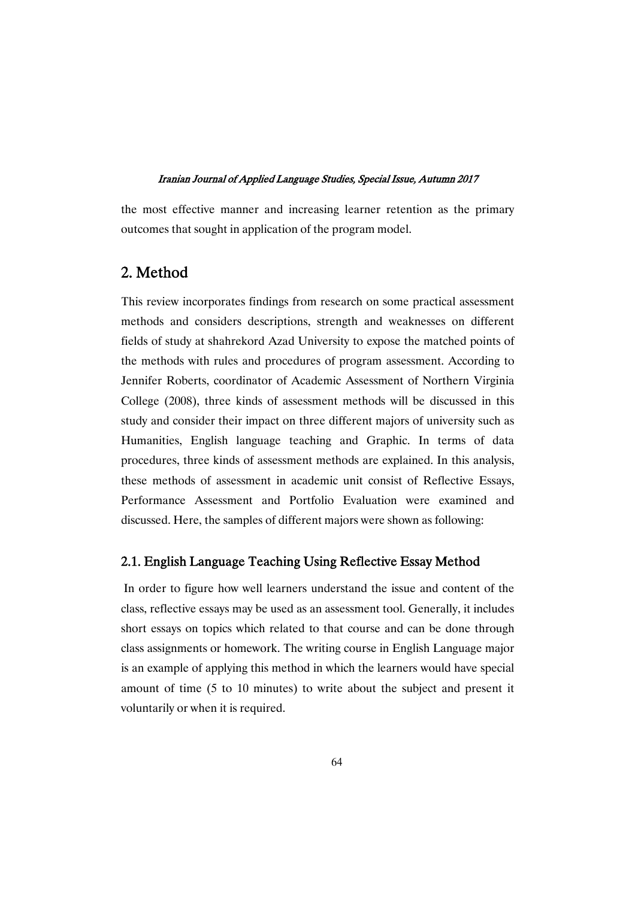the most effective manner and increasing learner retention as the primary outcomes that sought in application of the program model.

# 2.Method

This review incorporates findings from research on some practical assessment methods and considers descriptions, strength and weaknesses on different fields of study at shahrekord Azad University to expose the matched points of the methods with rules and procedures of program assessment. According to Jennifer Roberts, coordinator of Academic Assessment of Northern Virginia College (2008), three kinds of assessment methods will be discussed in this study and consider their impact on three different majors of university such as Humanities, English language teaching and Graphic. In terms of data procedures, three kinds of assessment methods are explained. In this analysis, these methods of assessment in academic unit consist of Reflective Essays, Performance Assessment and Portfolio Evaluation were examined and discussed. Here, the samples of different majors were shown as following:

### 2.1. English Language Teaching Using Reflective Essay Method

In order to figure how well learners understand the issue and content of the class, reflective essays may be used as an assessment tool. Generally, it includes short essays on topics which related to that course and can be done through class assignments or homework. The writing course in English Language major is an example of applying this method in which the learners would have special amount of time (5 to 10 minutes) to write about the subject and present it voluntarily or when it is required.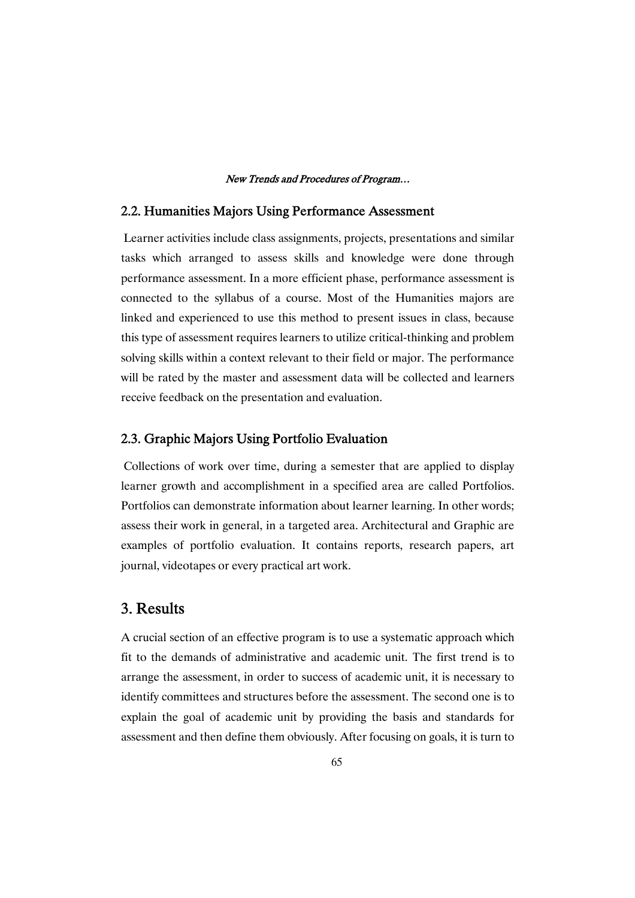### 2.2. Humanities Majors Using Performance Assessment

Learner activities include class assignments, projects, presentations and similar tasks which arranged to assess skills and knowledge were done through performance assessment. In a more efficient phase, performance assessment is connected to the syllabus of a course. Most of the Humanities majors are linked and experienced to use this method to present issues in class, because this type of assessment requires learners to utilize critical-thinking and problem solving skills within a context relevant to their field or major. The performance will be rated by the master and assessment data will be collected and learners receive feedback on the presentation and evaluation.

### 2.3. Graphic Majors Using Portfolio Evaluation

Collections of work over time, during a semester that are applied to display learner growth and accomplishment in a specified area are called Portfolios. Portfolios can demonstrate information about learner learning. In other words; assess their work in general, in a targeted area. Architectural and Graphic are examples of portfolio evaluation. It contains reports, research papers, art journal, videotapes or every practical art work.

## 3.Results

A crucial section of an effective program is to use a systematic approach which fit to the demands of administrative and academic unit. The first trend is to arrange the assessment, in order to success of academic unit, it is necessary to identify committees and structures before the assessment. The second one is to explain the goal of academic unit by providing the basis and standards for assessment and then define them obviously. After focusing on goals, it is turn to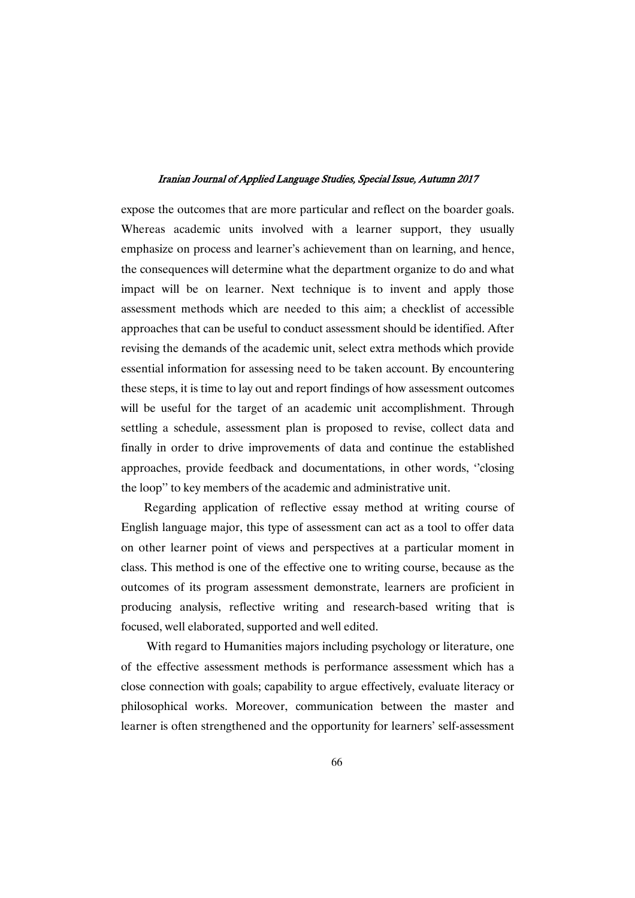expose the outcomes that are more particular and reflect on the boarder goals. Whereas academic units involved with a learner support, they usually emphasize on process and learner's achievement than on learning, and hence, the consequences will determine what the department organize to do and what impact will be on learner. Next technique is to invent and apply those assessment methods which are needed to this aim; a checklist of accessible approaches that can be useful to conduct assessment should be identified. After revising the demands of the academic unit, select extra methods which provide essential information for assessing need to be taken account. By encountering these steps, it is time to lay out and report findings of how assessment outcomes will be useful for the target of an academic unit accomplishment. Through settling a schedule, assessment plan is proposed to revise, collect data and finally in order to drive improvements of data and continue the established approaches, provide feedback and documentations, in other words, ''closing the loop'' to key members of the academic and administrative unit.

Regarding application of reflective essay method at writing course of English language major, this type of assessment can act as a tool to offer data on other learner point of views and perspectives at a particular moment in class. This method is one of the effective one to writing course, because as the outcomes of its program assessment demonstrate, learners are proficient in producing analysis, reflective writing and research-based writing that is focused, well elaborated, supported and well edited.

With regard to Humanities majors including psychology or literature, one of the effective assessment methods is performance assessment which has a close connection with goals; capability to argue effectively, evaluate literacy or philosophical works. Moreover, communication between the master and learner is often strengthened and the opportunity for learners' self-assessment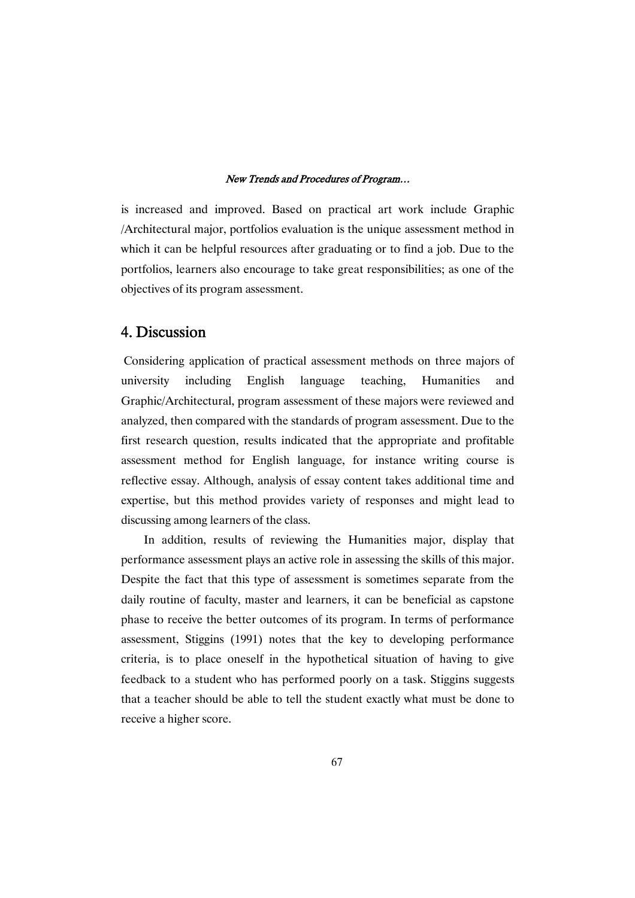is increased and improved. Based on practical art work include Graphic /Architectural major, portfolios evaluation is the unique assessment method in which it can be helpful resources after graduating or to find a job. Due to the portfolios, learners also encourage to take great responsibilities; as one of the objectives of its program assessment.

# 4.Discussion

Considering application of practical assessment methods on three majors of university including English language teaching, Humanities and Graphic/Architectural, program assessment of these majors were reviewed and analyzed, then compared with the standards of program assessment. Due to the first research question, results indicated that the appropriate and profitable assessment method for English language, for instance writing course is reflective essay. Although, analysis of essay content takes additional time and expertise, but this method provides variety of responses and might lead to discussing among learners of the class.

In addition, results of reviewing the Humanities major, display that performance assessment plays an active role in assessing the skills of this major. Despite the fact that this type of assessment is sometimes separate from the daily routine of faculty, master and learners, it can be beneficial as capstone phase to receive the better outcomes of its program. In terms of performance assessment, Stiggins (1991) notes that the key to developing performance criteria, is to place oneself in the hypothetical situation of having to give feedback to a student who has performed poorly on a task. Stiggins suggests that a teacher should be able to tell the student exactly what must be done to receive a higher score.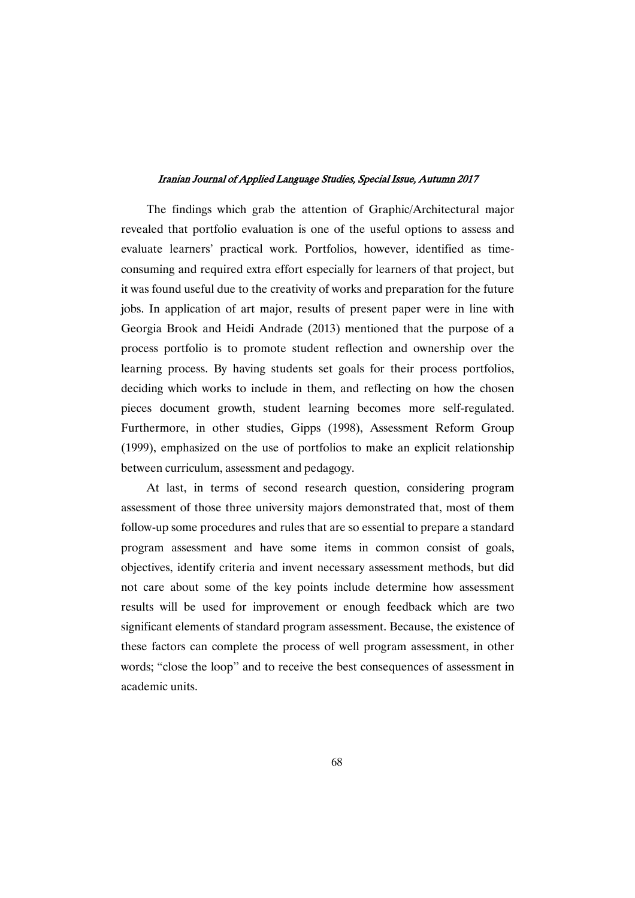The findings which grab the attention of Graphic/Architectural major revealed that portfolio evaluation is one of the useful options to assess and evaluate learners' practical work. Portfolios, however, identified as timeconsuming and required extra effort especially for learners of that project, but it was found useful due to the creativity of works and preparation for the future jobs. In application of art major, results of present paper were in line with Georgia Brook and Heidi Andrade (2013) mentioned that the purpose of a process portfolio is to promote student reflection and ownership over the learning process. By having students set goals for their process portfolios, deciding which works to include in them, and reflecting on how the chosen pieces document growth, student learning becomes more self-regulated. Furthermore, in other studies, Gipps (1998), Assessment Reform Group (1999), emphasized on the use of portfolios to make an explicit relationship between curriculum, assessment and pedagogy.

At last, in terms of second research question, considering program assessment of those three university majors demonstrated that, most of them follow-up some procedures and rules that are so essential to prepare a standard program assessment and have some items in common consist of goals, objectives, identify criteria and invent necessary assessment methods, but did not care about some of the key points include determine how assessment results will be used for improvement or enough feedback which are two significant elements of standard program assessment. Because, the existence of these factors can complete the process of well program assessment, in other words; "close the loop'' and to receive the best consequences of assessment in academic units.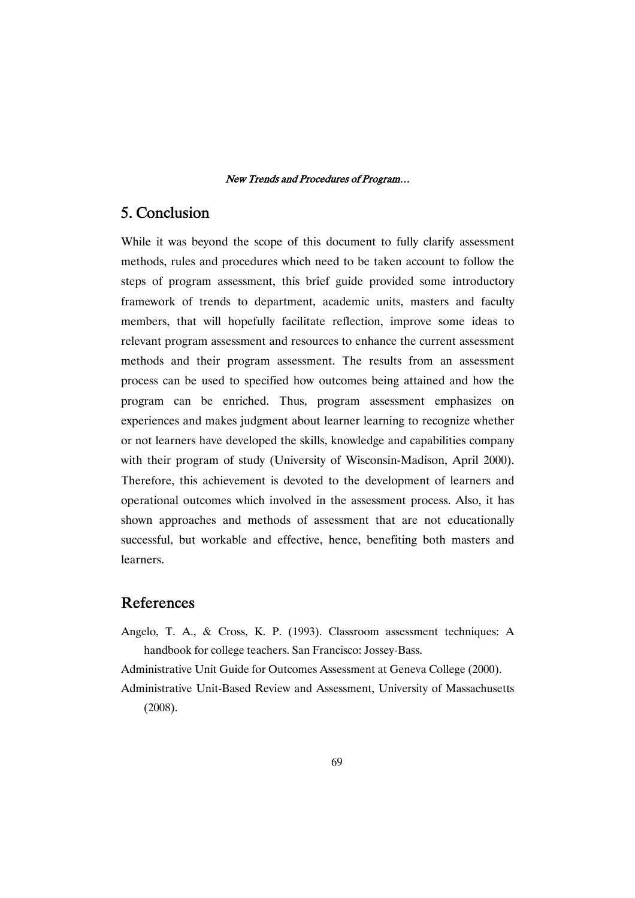# 5.Conclusion

While it was beyond the scope of this document to fully clarify assessment methods, rules and procedures which need to be taken account to follow the steps of program assessment, this brief guide provided some introductory framework of trends to department, academic units, masters and faculty members, that will hopefully facilitate reflection, improve some ideas to relevant program assessment and resources to enhance the current assessment methods and their program assessment. The results from an assessment process can be used to specified how outcomes being attained and how the program can be enriched. Thus, program assessment emphasizes on experiences and makes judgment about learner learning to recognize whether or not learners have developed the skills, knowledge and capabilities company with their program of study (University of Wisconsin-Madison, April 2000). Therefore, this achievement is devoted to the development of learners and operational outcomes which involved in the assessment process. Also, it has shown approaches and methods of assessment that are not educationally successful, but workable and effective, hence, benefiting both masters and learners.

# References

Angelo, T. A., & Cross, K. P. (1993). Classroom assessment techniques: A handbook for college teachers. San Francisco: Jossey-Bass.

Administrative Unit Guide for Outcomes Assessment at Geneva College (2000).

Administrative Unit-Based Review and Assessment, University of Massachusetts (2008).